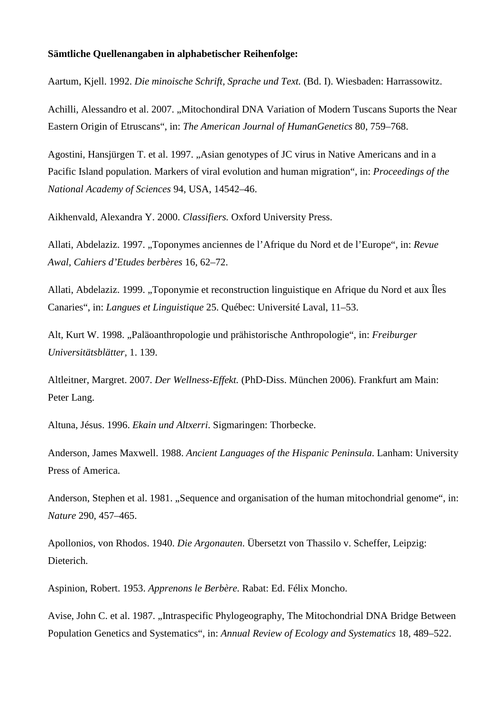## **Sämtliche Quellenangaben in alphabetischer Reihenfolge:**

Aartum, Kjell. 1992. *Die minoische Schrift, Sprache und Text.* (Bd. I). Wiesbaden: Harrassowitz.

Achilli, Alessandro et al. 2007. ..Mitochondiral DNA Variation of Modern Tuscans Suports the Near Eastern Origin of Etruscans", in: *The American Journal of HumanGenetics* 80, 759–768.

Agostini, Hansjürgen T. et al. 1997. "Asian genotypes of JC virus in Native Americans and in a Pacific Island population. Markers of viral evolution and human migration", in: *Proceedings of the National Academy of Sciences* 94, USA, 14542–46.

Aikhenvald, Alexandra Y. 2000. *Classifiers.* Oxford University Press.

Allati, Abdelaziz. 1997. "Toponymes anciennes de l'Afrique du Nord et de l'Europe", in: *Revue Awal, Cahiers d'Etudes berbères* 16, 62–72.

Allati, Abdelaziz. 1999. "Toponymie et reconstruction linguistique en Afrique du Nord et aux Îles Canaries", in: *Langues et Linguistique* 25. Québec: Université Laval, 11–53.

Alt, Kurt W. 1998. "Paläoanthropologie und prähistorische Anthropologie", in: *Freiburger Universitätsblätter,* 1. 139.

Altleitner, Margret. 2007. *Der Wellness-Effekt.* (PhD-Diss. München 2006). Frankfurt am Main: Peter Lang.

Altuna, Jésus. 1996. *Ekain und Altxerri*. Sigmaringen: Thorbecke.

Anderson, James Maxwell. 1988. *Ancient Languages of the Hispanic Peninsula*. Lanham: University Press of America.

Anderson, Stephen et al. 1981. "Sequence and organisation of the human mitochondrial genome", in: *Nature* 290, 457–465.

Apollonios, von Rhodos. 1940. *Die Argonauten*. Übersetzt von Thassilo v. Scheffer, Leipzig: Dieterich.

Aspinion, Robert. 1953. *Apprenons le Berbère.* Rabat: Ed. Félix Moncho.

Avise, John C. et al. 1987. "Intraspecific Phylogeography, The Mitochondrial DNA Bridge Between Population Genetics and Systematics", in: *Annual Review of Ecology and Systematics* 18, 489–522.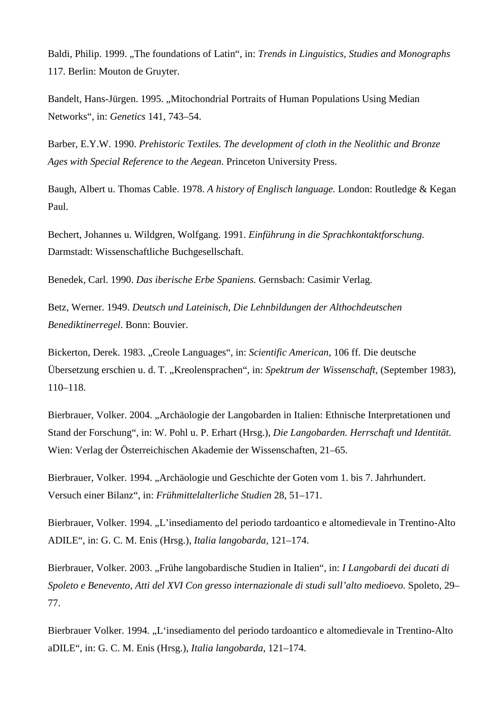Baldi, Philip. 1999. ..The foundations of Latin", in: *Trends in Linguistics. Studies and Monographs* 117. Berlin: Mouton de Gruyter.

Bandelt, Hans-Jürgen. 1995. "Mitochondrial Portraits of Human Populations Using Median Networks", in: *Genetics* 141, 743–54.

Barber, E.Y.W. 1990. *Prehistoric Textiles. The development of cloth in the Neolithic and Bronze Ages with Special Reference to the Aegean*. Princeton University Press.

Baugh, Albert u. Thomas Cable. 1978. *A history of Englisch language.* London: Routledge & Kegan Paul.

Bechert, Johannes u. Wildgren, Wolfgang. 1991. *Einführung in die Sprachkontaktforschung.* Darmstadt: Wissenschaftliche Buchgesellschaft.

Benedek, Carl. 1990. *Das iberische Erbe Spaniens.* Gernsbach: Casimir Verlag.

Betz, Werner. 1949. *Deutsch und Lateinisch, Die Lehnbildungen der Althochdeutschen Benediktinerregel*. Bonn: Bouvier.

Bickerton, Derek. 1983. "Creole Languages", in: *Scientific American*, 106 ff. Die deutsche Übersetzung erschien u. d. T. "Kreolensprachen", in: *Spektrum der Wissenschaft,* (September 1983), 110–118.

Bierbrauer, Volker. 2004. "Archäologie der Langobarden in Italien: Ethnische Interpretationen und Stand der Forschung", in: W. Pohl u. P. Erhart (Hrsg.), *Die Langobarden. Herrschaft und Identität.* Wien: Verlag der Österreichischen Akademie der Wissenschaften, 21–65.

Bierbrauer, Volker. 1994. "Archäologie und Geschichte der Goten vom 1. bis 7. Jahrhundert. Versuch einer Bilanz", in: *Frühmittelalterliche Studien* 28, 51–171.

Bierbrauer, Volker. 1994. "L'insediamento del periodo tardoantico e altomedievale in Trentino-Alto ADILE", in: G. C. M. Enis (Hrsg.), *Italia langobarda,* 121–174.

Bierbrauer, Volker. 2003. "Frühe langobardische Studien in Italien", in: *I Langobardi dei ducati di Spoleto e Benevento, Atti del XVI Con gresso internazionale di studi sull'alto medioevo.* Spoleto*,* 29– 77.

Bierbrauer Volker. 1994. "L'insediamento del periodo tardoantico e altomedievale in Trentino-Alto aDILE", in: G. C. M. Enis (Hrsg.), *Italia langobarda*, 121–174.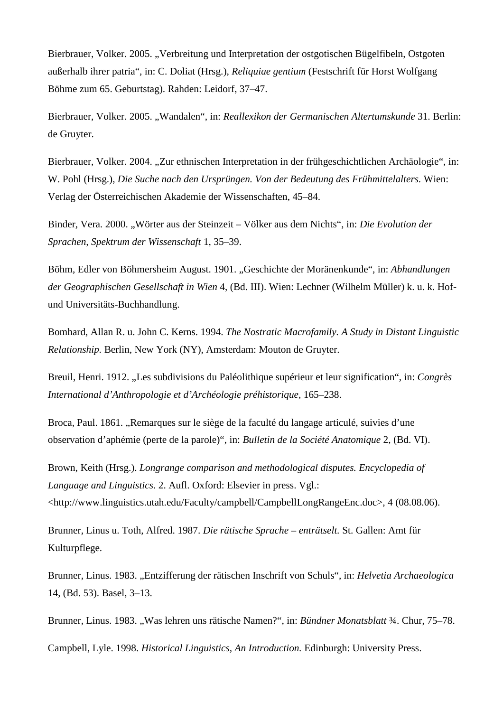Bierbrauer, Volker. 2005. "Verbreitung und Interpretation der ostgotischen Bügelfibeln, Ostgoten außerhalb ihrer patria", in: C. Doliat (Hrsg.), *Reliquiae gentium* (Festschrift für Horst Wolfgang Böhme zum 65. Geburtstag). Rahden: Leidorf, 37–47.

Bierbrauer, Volker. 2005. "Wandalen", in: *Reallexikon der Germanischen Altertumskunde* 31. Berlin: de Gruyter.

Bierbrauer, Volker. 2004. "Zur ethnischen Interpretation in der frühgeschichtlichen Archäologie", in: W. Pohl (Hrsg.), *Die Suche nach den Ursprüngen. Von der Bedeutung des Frühmittelalters.* Wien: Verlag der Österreichischen Akademie der Wissenschaften, 45–84.

Binder, Vera. 2000. "Wörter aus der Steinzeit – Völker aus dem Nichts", in: Die Evolution der *Sprachen, Spektrum der Wissenschaft* 1, 35–39.

Böhm, Edler von Böhmersheim August. 1901. "Geschichte der Moränenkunde", in: *Abhandlungen der Geographischen Gesellschaft in Wien* 4, (Bd. III). Wien: Lechner (Wilhelm Müller) k. u. k. Hofund Universitäts-Buchhandlung.

Bomhard, Allan R. u. John C. Kerns. 1994. *The Nostratic Macrofamily. A Study in Distant Linguistic Relationship.* Berlin, New York (NY), Amsterdam: Mouton de Gruyter.

Breuil, Henri. 1912. "Les subdivisions du Paléolithique supérieur et leur signification", in: *Congrès International d'Anthropologie et d'Archéologie préhistorique,* 165–238.

Broca, Paul. 1861. "Remarques sur le siège de la faculté du langage articulé, suivies d'une observation d'aphémie (perte de la parole)", in: *Bulletin de la Société Anatomique* 2, (Bd. VI).

Brown, Keith (Hrsg.). *Longrange comparison and methodological disputes. Encyclopedia of Language and Linguistics*. 2. Aufl. Oxford: Elsevier in press. Vgl.: <http://www.linguistics.utah.edu/Faculty/campbell/CampbellLongRangeEnc.doc>, 4 (08.08.06).

Brunner, Linus u. Toth, Alfred. 1987. *Die rätische Sprache – enträtselt.* St. Gallen: Amt für Kulturpflege.

Brunner, Linus. 1983. "Entzifferung der rätischen Inschrift von Schuls", in: *Helvetia Archaeologica* 14, (Bd. 53). Basel, 3–13.

Brunner, Linus. 1983. "Was lehren uns rätische Namen?", in: *Bündner Monatsblatt* <sup>3</sup>/4. Chur, 75–78.

Campbell, Lyle. 1998. *Historical Linguistics, An Introduction.* Edinburgh: University Press.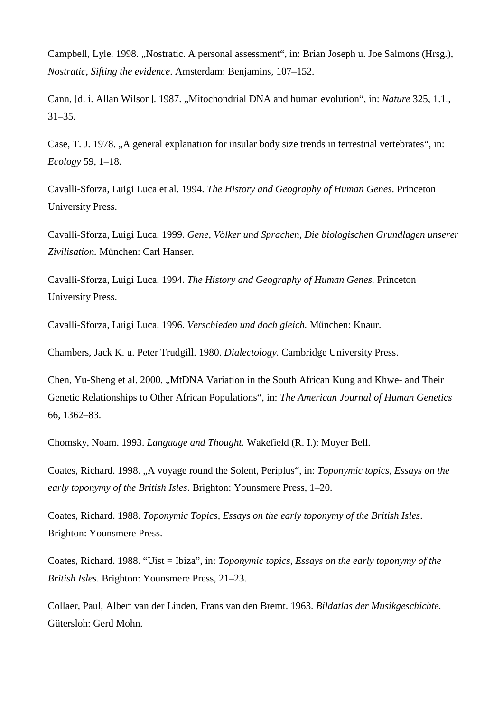Campbell, Lyle. 1998. "Nostratic. A personal assessment", in: Brian Joseph u. Joe Salmons (Hrsg.), *Nostratic, Sifting the evidence*. Amsterdam: Benjamins, 107–152.

Cann, *Id. i. Allan Wilson].* 1987. "Mitochondrial DNA and human evolution", in: *Nature* 325, 1.1.  $31-35.$ 

Case, T. J. 1978. "A general explanation for insular body size trends in terrestrial vertebrates", in: *Ecology* 59, 1–18.

Cavalli-Sforza, Luigi Luca et al. 1994. *The History and Geography of Human Genes*. Princeton University Press.

Cavalli-Sforza, Luigi Luca. 1999. *Gene, Völker und Sprachen, Die biologischen Grundlagen unserer Zivilisation.* München: Carl Hanser.

Cavalli-Sforza, Luigi Luca. 1994. *The History and Geography of Human Genes.* Princeton University Press.

Cavalli-Sforza, Luigi Luca. 1996. *Verschieden und doch gleich.* München: Knaur.

Chambers, Jack K. u. Peter Trudgill. 1980. *Dialectology.* Cambridge University Press.

Chen, Yu-Sheng et al. 2000. "MtDNA Variation in the South African Kung and Khwe- and Their Genetic Relationships to Other African Populations", in: *The American Journal of Human Genetics* 66, 1362–83.

Chomsky, Noam. 1993. *Language and Thought.* Wakefield (R. I.): Moyer Bell.

Coates, Richard. 1998. "A voyage round the Solent, Periplus", in: *Toponymic topics, Essays on the early toponymy of the British Isles*. Brighton: Younsmere Press, 1–20.

Coates, Richard. 1988. *Toponymic Topics, Essays on the early toponymy of the British Isles*. Brighton: Younsmere Press.

Coates, Richard. 1988. "Uist = Ibiza", in: *Toponymic topics, Essays on the early toponymy of the British Isles*. Brighton: Younsmere Press, 21–23.

Collaer, Paul, Albert van der Linden, Frans van den Bremt. 1963. *Bildatlas der Musikgeschichte.* Gütersloh: Gerd Mohn.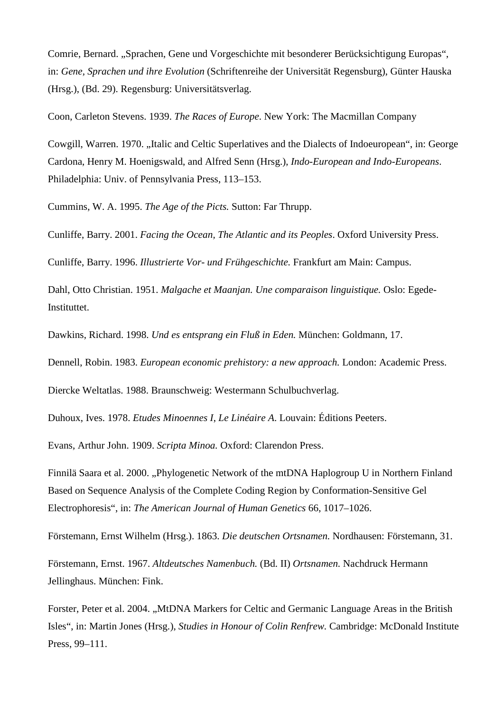Comrie, Bernard. "Sprachen, Gene und Vorgeschichte mit besonderer Berücksichtigung Europas", in: *Gene, Sprachen und ihre Evolution* (Schriftenreihe der Universität Regensburg), Günter Hauska (Hrsg.), (Bd. 29). Regensburg: Universitätsverlag.

Coon, Carleton Stevens. 1939. *The Races of Europe*. New York: The Macmillan Company

Cowgill, Warren. 1970. "Italic and Celtic Superlatives and the Dialects of Indoeuropean", in: George Cardona, Henry M. Hoenigswald, and Alfred Senn (Hrsg.), *Indo-European and Indo-Europeans*. Philadelphia: Univ. of Pennsylvania Press, 113–153.

Cummins, W. A. 1995. *The Age of the Picts.* Sutton: Far Thrupp.

Cunliffe, Barry. 2001. *Facing the Ocean, The Atlantic and its Peoples*. Oxford University Press.

Cunliffe, Barry. 1996. *Illustrierte Vor- und Frühgeschichte.* Frankfurt am Main: Campus.

Dahl, Otto Christian. 1951. *Malgache et Maanjan. Une comparaison linguistique.* Oslo: Egede-Instituttet.

Dawkins, Richard. 1998. *Und es entsprang ein Fluß in Eden.* München: Goldmann, 17.

Dennell, Robin. 1983. *European economic prehistory: a new approach.* London: Academic Press.

Diercke Weltatlas. 1988. Braunschweig: Westermann Schulbuchverlag.

Duhoux, Ives. 1978. *Etudes Minoennes I*, *Le Linéaire A*. Louvain: Éditions Peeters.

Evans, Arthur John. 1909. *Scripta Minoa.* Oxford: Clarendon Press.

Finnilä Saara et al. 2000. "Phylogenetic Network of the mtDNA Haplogroup U in Northern Finland Based on Sequence Analysis of the Complete Coding Region by Conformation-Sensitive Gel Electrophoresis", in: *The American Journal of Human Genetics* 66, 1017–1026.

Förstemann, Ernst Wilhelm (Hrsg.). 1863. *Die deutschen Ortsnamen.* Nordhausen: Förstemann, 31.

Förstemann, Ernst. 1967. *Altdeutsches Namenbuch.* (Bd. II) *Ortsnamen.* Nachdruck Hermann Jellinghaus. München: Fink.

Forster, Peter et al. 2004. "MtDNA Markers for Celtic and Germanic Language Areas in the British Isles", in: Martin Jones (Hrsg.), *Studies in Honour of Colin Renfrew.* Cambridge: McDonald Institute Press, 99–111.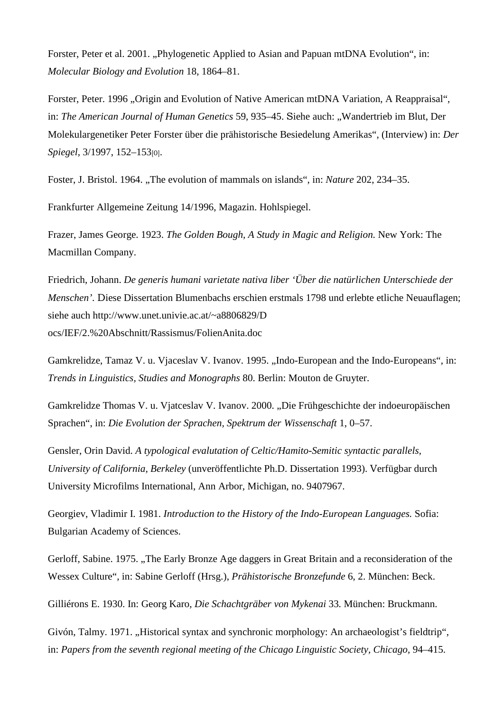Forster, Peter et al. 2001. ..Phylogenetic Applied to Asian and Papuan mtDNA Evolution", in: *Molecular Biology and Evolution* 18, 1864–81.

Forster, Peter. 1996 . Origin and Evolution of Native American mtDNA Variation. A Reappraisal", in: *The American Journal of Human Genetics* 59, 935–45. Siehe auch: "Wandertrieb im Blut, Der Molekulargenetiker Peter Forster über die prähistorische Besiedelung Amerikas", (Interview) in: *Der Spiegel*, 3/1997, 152–153[0].

Foster, J. Bristol. 1964. "The evolution of mammals on islands", in: *Nature* 202, 234–35.

Frankfurter Allgemeine Zeitung 14/1996, Magazin. Hohlspiegel.

Frazer, James George. 1923. *The Golden Bough, A Study in Magic and Religion.* New York: The Macmillan Company.

Friedrich, Johann. *De generis humani varietate nativa liber 'Über die natürlichen Unterschiede der Menschen'.* Diese Dissertation Blumenbachs erschien erstmals 1798 und erlebte etliche Neuauflagen; siehe auch http://www.unet.univie.ac.at/~a8806829/D ocs/IEF/2.%20Abschnitt/Rassismus/FolienAnita.doc

Gamkrelidze, Tamaz V. u. Vjaceslav V. Ivanov. 1995. "Indo-European and the Indo-Europeans", in: *Trends in Linguistics, Studies and Monographs* 80. Berlin: Mouton de Gruyter.

Gamkrelidze Thomas V. u. Vjatceslav V. Ivanov. 2000. "Die Frühgeschichte der indoeuropäischen Sprachen", in: *Die Evolution der Sprachen, Spektrum der Wissenschaft* 1, 0–57.

Gensler, Orin David. *A typological evalutation of Celtic/Hamito-Semitic syntactic parallels, University of California, Berkeley* (unveröffentlichte Ph.D. Dissertation 1993). Verfügbar durch University Microfilms International, Ann Arbor, Michigan, no. 9407967.

Georgiev, Vladimir I. 1981. *Introduction to the History of the Indo-European Languages.* Sofia: Bulgarian Academy of Sciences.

Gerloff, Sabine. 1975. "The Early Bronze Age daggers in Great Britain and a reconsideration of the Wessex Culture", in: Sabine Gerloff (Hrsg.), *Prähistorische Bronzefunde* 6, 2. München: Beck.

Gilliérons E. 1930. In: Georg Karo, *Die Schachtgräber von Mykenai* 33*.* München: Bruckmann.

Givón, Talmy. 1971. "Historical syntax and synchronic morphology: An archaeologist's fieldtrip", in: *Papers from the seventh regional meeting of the Chicago Linguistic Society, Chicago,* 94–415.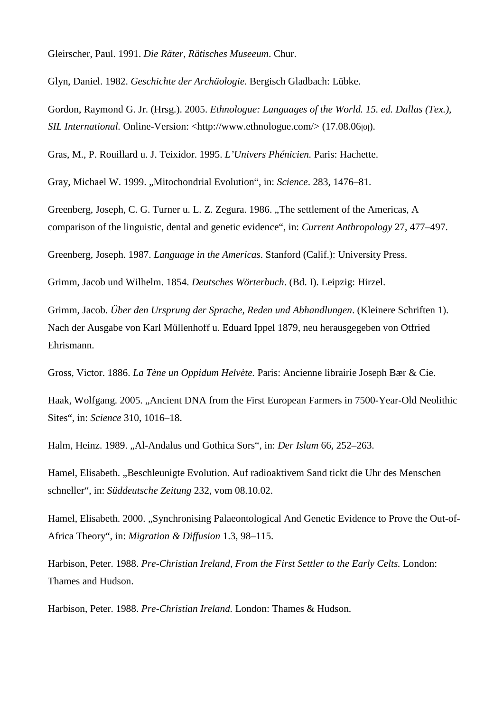Gleirscher, Paul. 1991. *Die Räter, Rätisches Museeum*. Chur.

Glyn, Daniel. 1982. *Geschichte der Archäologie.* Bergisch Gladbach: Lübke.

Gordon, Raymond G. Jr. (Hrsg.). 2005. *Ethnologue: Languages of the World. 15. ed. Dallas (Tex.), SIL International.* Online-Version: <http://www.ethnologue.com/> (17.08.06[0]).

Gras, M., P. Rouillard u. J. Teixidor. 1995. *L'Univers Phénicien.* Paris: Hachette.

Gray, Michael W. 1999. "Mitochondrial Evolution", in: *Science*. 283, 1476–81.

Greenberg, Joseph, C. G. Turner u. L. Z. Zegura. 1986. "The settlement of the Americas, A comparison of the linguistic, dental and genetic evidence", in: *Current Anthropology* 27, 477–497.

Greenberg, Joseph. 1987. *Language in the Americas*. Stanford (Calif.): University Press.

Grimm, Jacob und Wilhelm. 1854. *Deutsches Wörterbuch*. (Bd. I). Leipzig: Hirzel.

Grimm, Jacob. *Über den Ursprung der Sprache, Reden und Abhandlungen*. (Kleinere Schriften 1). Nach der Ausgabe von Karl Müllenhoff u. Eduard Ippel 1879, neu herausgegeben von Otfried Ehrismann.

Gross, Victor. 1886. *La Tène un Oppidum Helvète.* Paris: Ancienne librairie Joseph Bær & Cie.

Haak, Wolfgang. 2005. "Ancient DNA from the First European Farmers in 7500-Year-Old Neolithic Sites", in: *Science* 310, 1016–18.

Halm, Heinz. 1989. "Al-Andalus und Gothica Sors", in: *Der Islam* 66, 252–263.

Hamel, Elisabeth. "Beschleunigte Evolution. Auf radioaktivem Sand tickt die Uhr des Menschen schneller", in: *Süddeutsche Zeitung* 232, vom 08.10.02.

Hamel, Elisabeth. 2000. "Synchronising Palaeontological And Genetic Evidence to Prove the Out-of-Africa Theory", in: *Migration & Diffusion* 1.3, 98–115.

Harbison, Peter. 1988. *Pre-Christian Ireland, From the First Settler to the Early Celts.* London: Thames and Hudson.

Harbison, Peter. 1988. *Pre-Christian Ireland.* London: Thames & Hudson.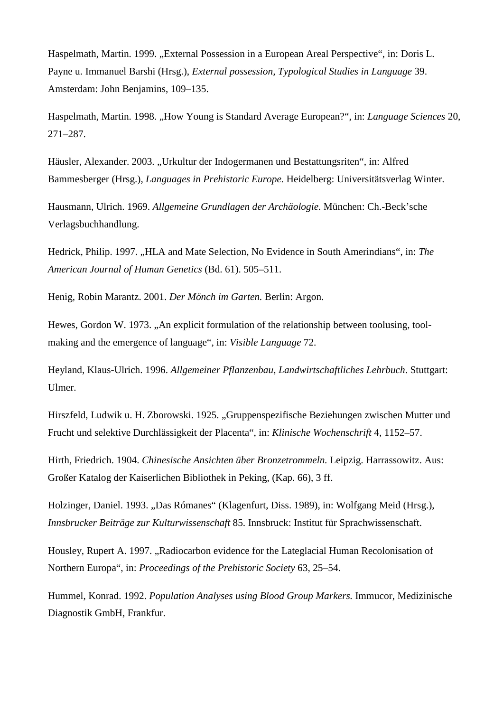Haspelmath, Martin. 1999. "External Possession in a European Areal Perspective", in: Doris L. Payne u. Immanuel Barshi (Hrsg.), *External possession, Typological Studies in Language* 39. Amsterdam: John Benjamins, 109–135.

Haspelmath, Martin. 1998. "How Young is Standard Average European?", in: *Language Sciences* 20, 271–287.

Häusler, Alexander. 2003. "Urkultur der Indogermanen und Bestattungsriten", in: Alfred Bammesberger (Hrsg.), *Languages in Prehistoric Europe.* Heidelberg: Universitätsverlag Winter.

Hausmann, Ulrich. 1969. *Allgemeine Grundlagen der Archäologie.* München: Ch.-Beck'sche Verlagsbuchhandlung.

Hedrick, Philip. 1997. "HLA and Mate Selection, No Evidence in South Amerindians", in: *The American Journal of Human Genetics* (Bd. 61). 505–511.

Henig, Robin Marantz. 2001. *Der Mönch im Garten.* Berlin: Argon.

Hewes, Gordon W. 1973. "An explicit formulation of the relationship between toolusing, toolmaking and the emergence of language", in: *Visible Language* 72.

Heyland, Klaus-Ulrich. 1996. *Allgemeiner Pflanzenbau, Landwirtschaftliches Lehrbuch*. Stuttgart: Ulmer.

Hirszfeld, Ludwik u. H. Zborowski. 1925. "Gruppenspezifische Beziehungen zwischen Mutter und Frucht und selektive Durchlässigkeit der Placenta", in: *Klinische Wochenschrift* 4, 1152–57.

Hirth, Friedrich. 1904. *Chinesische Ansichten über Bronzetrommeln.* Leipzig. Harrassowitz. Aus: Großer Katalog der Kaiserlichen Bibliothek in Peking, (Kap. 66), 3 ff.

Holzinger, Daniel. 1993. "Das Rómanes" (Klagenfurt, Diss. 1989), in: Wolfgang Meid (Hrsg.). *Innsbrucker Beiträge zur Kulturwissenschaft* 85. Innsbruck: Institut für Sprachwissenschaft.

Housley, Rupert A. 1997. "Radiocarbon evidence for the Lateglacial Human Recolonisation of Northern Europa", in: *Proceedings of the Prehistoric Society* 63, 25–54.

Hummel, Konrad. 1992. *Population Analyses using Blood Group Markers.* Immucor, Medizinische Diagnostik GmbH, Frankfur.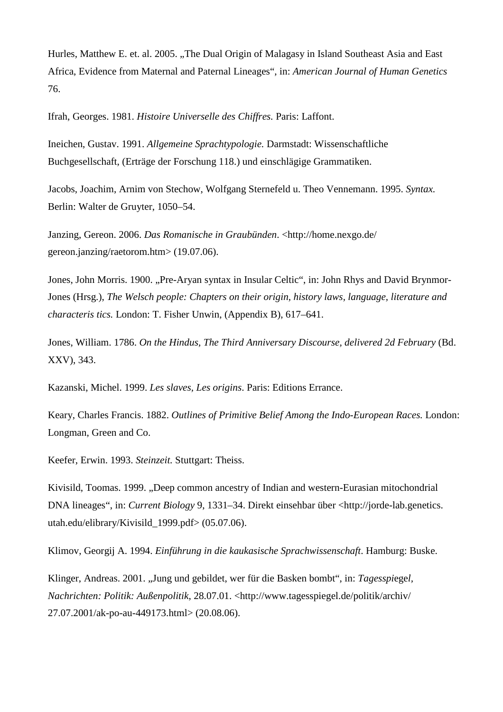Hurles, Matthew E. et. al. 2005. "The Dual Origin of Malagasy in Island Southeast Asia and East Africa, Evidence from Maternal and Paternal Lineages", in: *American Journal of Human Genetics* 76.

Ifrah, Georges. 1981. *Histoire Universelle des Chiffres.* Paris: Laffont.

Ineichen, Gustav. 1991. *Allgemeine Sprachtypologie.* Darmstadt: Wissenschaftliche Buchgesellschaft, (Erträge der Forschung 118.) und einschlägige Grammatiken.

Jacobs, Joachim, Arnim von Stechow, Wolfgang Sternefeld u. Theo Vennemann. 1995. *Syntax.* Berlin: Walter de Gruyter, 1050–54.

Janzing, Gereon. 2006. *Das Romanische in Graubünden*. <http://home.nexgo.de/ gereon.janzing/raetorom.htm> (19.07.06).

Jones, John Morris. 1900. "Pre-Aryan syntax in Insular Celtic", in: John Rhys and David Brynmor-Jones (Hrsg.), *The Welsch people: Chapters on their origin, history laws, language, literature and characteris tics.* London: T. Fisher Unwin, (Appendix B), 617–641.

Jones, William. 1786. *On the Hindus, The Third Anniversary Discourse, delivered 2d February* (Bd. XXV), 343.

Kazanski, Michel. 1999. *Les slaves, Les origins*. Paris: Editions Errance.

Keary, Charles Francis. 1882. *Outlines of Primitive Belief Among the Indo-European Races.* London: Longman, Green and Co.

Keefer, Erwin. 1993. *Steinzeit.* Stuttgart: Theiss.

Kivisild, Toomas. 1999. "Deep common ancestry of Indian and western-Eurasian mitochondrial DNA lineages", in: *Current Biology* 9, 1331–34. Direkt einsehbar über <http://jorde-lab.genetics. utah.edu/elibrary/Kivisild\_1999.pdf> (05.07.06).

Klimov, Georgij A. 1994. *Einführung in die kaukasische Sprachwissenschaft*. Hamburg: Buske.

Klinger, Andreas. 2001. "Jung und gebildet, wer für die Basken bombt", in: *Tagesspiegel*, *Nachrichten: Politik: Außenpolitik*, 28.07.01. <http://www.tagesspiegel.de/politik/archiv/ 27.07.2001/ak-po-au-449173.html> (20.08.06).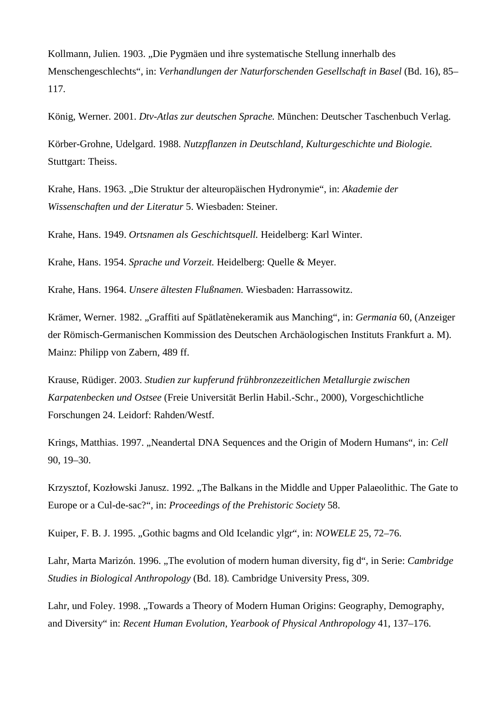Kollmann, Julien. 1903. "Die Pygmäen und ihre systematische Stellung innerhalb des Menschengeschlechts", in: *Verhandlungen der Naturforschenden Gesellschaft in Basel* (Bd. 16), 85– 117.

König, Werner. 2001. *Dtv-Atlas zur deutschen Sprache.* München: Deutscher Taschenbuch Verlag.

Körber-Grohne, Udelgard. 1988. *Nutzpflanzen in Deutschland, Kulturgeschichte und Biologie.* Stuttgart: Theiss.

Krahe, Hans. 1963. "Die Struktur der alteuropäischen Hydronymie", in: *Akademie der Wissenschaften und der Literatur* 5. Wiesbaden: Steiner.

Krahe, Hans. 1949. *Ortsnamen als Geschichtsquell.* Heidelberg: Karl Winter.

Krahe, Hans. 1954. *Sprache und Vorzeit.* Heidelberg: Quelle & Meyer.

Krahe, Hans. 1964. *Unsere ältesten Flußnamen.* Wiesbaden: Harrassowitz.

Krämer, Werner. 1982. "Graffiti auf Spätlatènekeramik aus Manching", in: *Germania* 60, (Anzeiger der Römisch-Germanischen Kommission des Deutschen Archäologischen Instituts Frankfurt a. M). Mainz: Philipp von Zabern, 489 ff.

Krause, Rüdiger. 2003. *Studien zur kupferund frühbronzezeitlichen Metallurgie zwischen Karpatenbecken und Ostsee* (Freie Universität Berlin Habil.-Schr., 2000), Vorgeschichtliche Forschungen 24. Leidorf: Rahden/Westf.

Krings, Matthias. 1997. "Neandertal DNA Sequences and the Origin of Modern Humans", in: *Cell* 90, 19–30.

Krzysztof, Kozłowski Janusz. 1992. "The Balkans in the Middle and Upper Palaeolithic. The Gate to Europe or a Cul-de-sac?", in: *Proceedings of the Prehistoric Society* 58.

Kuiper, F. B. J. 1995. "Gothic bagms and Old Icelandic ylgr", in: *NOWELE* 25, 72–76.

Lahr, Marta Marizón. 1996. "The evolution of modern human diversity, fig d", in Serie: *Cambridge Studies in Biological Anthropology* (Bd. 18)*.* Cambridge University Press, 309.

Lahr, und Foley. 1998. "Towards a Theory of Modern Human Origins: Geography, Demography, and Diversity" in: *Recent Human Evolution, Yearbook of Physical Anthropology* 41, 137–176.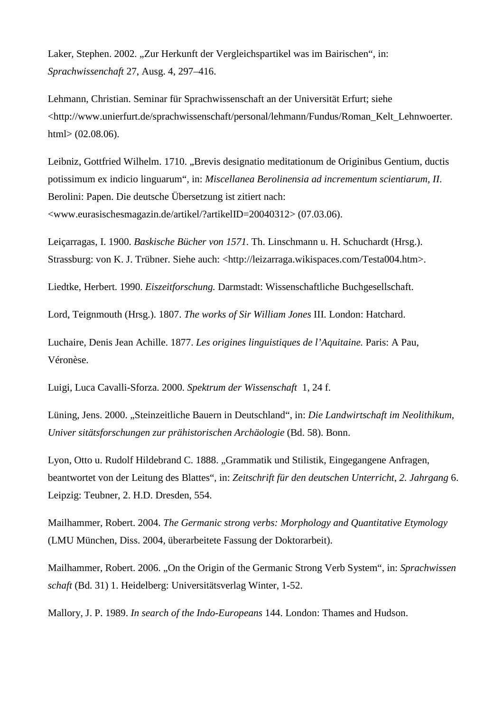Laker, Stephen. 2002. "Zur Herkunft der Vergleichspartikel was im Bairischen", in: *Sprachwissenchaft* 27, Ausg. 4, 297–416.

Lehmann, Christian. Seminar für Sprachwissenschaft an der Universität Erfurt; siehe <http://www.unierfurt.de/sprachwissenschaft/personal/lehmann/Fundus/Roman\_Kelt\_Lehnwoerter. html> (02.08.06).

Leibniz, Gottfried Wilhelm. 1710. "Brevis designatio meditationum de Originibus Gentium, ductis potissimum ex indicio linguarum", in: *Miscellanea Berolinensia ad incrementum scientiarum, II*. Berolini: Papen. Die deutsche Übersetzung ist zitiert nach: <www.eurasischesmagazin.de/artikel/?artikelID=20040312> (07.03.06).

Leiçarragas, I. 1900. *Baskische Bücher von 1571.* Th. Linschmann u. H. Schuchardt (Hrsg.). Strassburg: von K. J. Trübner. Siehe auch: <http://leizarraga.wikispaces.com/Testa004.htm>.

Liedtke, Herbert. 1990. *Eiszeitforschung.* Darmstadt: Wissenschaftliche Buchgesellschaft.

Lord, Teignmouth (Hrsg.). 1807. *The works of Sir William Jones* III. London: Hatchard.

Luchaire, Denis Jean Achille. 1877. *Les origines linguistiques de l'Aquitaine.* Paris: A Pau, Véronèse.

Luigi, Luca Cavalli-Sforza. 2000. *Spektrum der Wissenschaft* 1, 24 f.

Lüning, Jens. 2000. "Steinzeitliche Bauern in Deutschland", in: *Die Landwirtschaft im Neolithikum, Univer sitätsforschungen zur prähistorischen Archäologie* (Bd. 58). Bonn.

Lyon, Otto u. Rudolf Hildebrand C. 1888. "Grammatik und Stilistik, Eingegangene Anfragen, beantwortet von der Leitung des Blattes", in: *Zeitschrift für den deutschen Unterricht*, *2. Jahrgang* 6. Leipzig: Teubner, 2. H.D. Dresden, 554.

Mailhammer, Robert. 2004. *The Germanic strong verbs: Morphology and Quantitative Etymology* (LMU München, Diss. 2004, überarbeitete Fassung der Doktorarbeit).

Mailhammer, Robert. 2006. "On the Origin of the Germanic Strong Verb System", in: *Sprachwissen schaft* (Bd. 31) 1. Heidelberg: Universitätsverlag Winter, 1-52.

Mallory, J. P. 1989. *In search of the Indo-Europeans* 144. London: Thames and Hudson.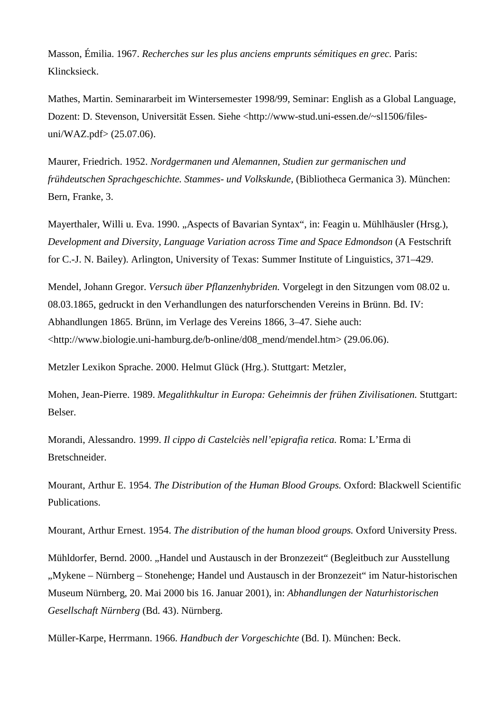Masson, Émilia. 1967. *Recherches sur les plus anciens emprunts sémitiques en grec.* Paris: Klincksieck.

Mathes, Martin. Seminararbeit im Wintersemester 1998/99, Seminar: English as a Global Language, Dozent: D. Stevenson, Universität Essen. Siehe <http://www-stud.uni-essen.de/~sl1506/filesuni/WAZ.pdf> (25.07.06).

Maurer, Friedrich. 1952. *Nordgermanen und Alemannen, Studien zur germanischen und frühdeutschen Sprachgeschichte. Stammes- und Volkskunde,* (Bibliotheca Germanica 3). München: Bern, Franke, 3.

Mayerthaler, Willi u. Eva. 1990. "Aspects of Bavarian Syntax", in: Feagin u. Mühlhäusler (Hrsg.), *Development and Diversity, Language Variation across Time and Space Edmondson* (A Festschrift for C.-J. N. Bailey). Arlington, University of Texas: Summer Institute of Linguistics, 371–429.

Mendel, Johann Gregor. *Versuch über Pflanzenhybriden.* Vorgelegt in den Sitzungen vom 08.02 u. 08.03.1865, gedruckt in den Verhandlungen des naturforschenden Vereins in Brünn. Bd. IV: Abhandlungen 1865. Brünn, im Verlage des Vereins 1866, 3–47. Siehe auch:  $\lt$ http://www.biologie.uni-hamburg.de/b-online/d08\_mend/mendel.htm> (29.06.06).

Metzler Lexikon Sprache. 2000. Helmut Glück (Hrg.). Stuttgart: Metzler,

Mohen, Jean-Pierre. 1989. *Megalithkultur in Europa: Geheimnis der frühen Zivilisationen.* Stuttgart: Belser.

Morandi, Alessandro. 1999. *Il cippo di Castelciès nell'epigrafia retica.* Roma: L'Erma di Bretschneider.

Mourant, Arthur E. 1954. *The Distribution of the Human Blood Groups.* Oxford: Blackwell Scientific Publications.

Mourant, Arthur Ernest. 1954. *The distribution of the human blood groups.* Oxford University Press.

Mühldorfer, Bernd. 2000. "Handel und Austausch in der Bronzezeit" (Begleitbuch zur Ausstellung "Mykene – Nürnberg – Stonehenge; Handel und Austausch in der Bronzezeit" im Natur-historischen Museum Nürnberg, 20. Mai 2000 bis 16. Januar 2001), in: *Abhandlungen der Naturhistorischen Gesellschaft Nürnberg* (Bd. 43). Nürnberg.

Müller-Karpe, Herrmann. 1966. *Handbuch der Vorgeschichte* (Bd. I). München: Beck.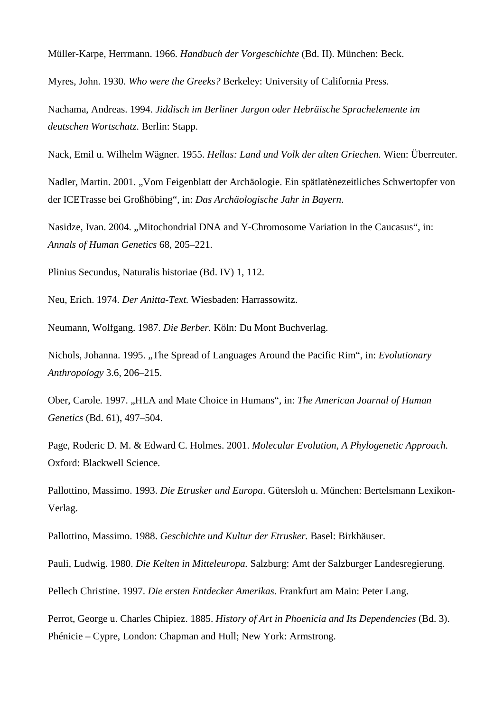Müller-Karpe, Herrmann. 1966. *Handbuch der Vorgeschichte* (Bd. II). München: Beck.

Myres, John. 1930. *Who were the Greeks?* Berkeley: University of California Press.

Nachama, Andreas. 1994. *Jiddisch im Berliner Jargon oder Hebräische Sprachelemente im deutschen Wortschatz*. Berlin: Stapp.

Nack, Emil u. Wilhelm Wägner. 1955. *Hellas: Land und Volk der alten Griechen.* Wien: Überreuter.

Nadler, Martin. 2001. "Vom Feigenblatt der Archäologie. Ein spätlatènezeitliches Schwertopfer von der ICETrasse bei Großhöbing", in: *Das Archäologische Jahr in Bayern*.

Nasidze, Ivan. 2004. ..Mitochondrial DNA and Y-Chromosome Variation in the Caucasus", in: *Annals of Human Genetics* 68, 205–221.

Plinius Secundus, Naturalis historiae (Bd. IV) 1, 112.

Neu, Erich. 1974. *Der Anitta-Text.* Wiesbaden: Harrassowitz.

Neumann, Wolfgang. 1987. *Die Berber.* Köln: Du Mont Buchverlag.

Nichols, Johanna. 1995. "The Spread of Languages Around the Pacific Rim", in: *Evolutionary Anthropology* 3.6, 206–215.

Ober, Carole. 1997. "HLA and Mate Choice in Humans", in: *The American Journal of Human Genetics* (Bd. 61), 497–504.

Page, Roderic D. M. & Edward C. Holmes. 2001. *Molecular Evolution, A Phylogenetic Approach.* Oxford: Blackwell Science.

Pallottino, Massimo. 1993. *Die Etrusker und Europa*. Gütersloh u. München: Bertelsmann Lexikon-Verlag.

Pallottino, Massimo. 1988. *Geschichte und Kultur der Etrusker.* Basel: Birkhäuser.

Pauli, Ludwig. 1980. *Die Kelten in Mitteleuropa.* Salzburg: Amt der Salzburger Landesregierung.

Pellech Christine. 1997. *Die ersten Entdecker Amerikas.* Frankfurt am Main: Peter Lang.

Perrot, George u. Charles Chipiez. 1885. *History of Art in Phoenicia and Its Dependencies* (Bd. 3). Phénicie – Cypre, London: Chapman and Hull; New York: Armstrong.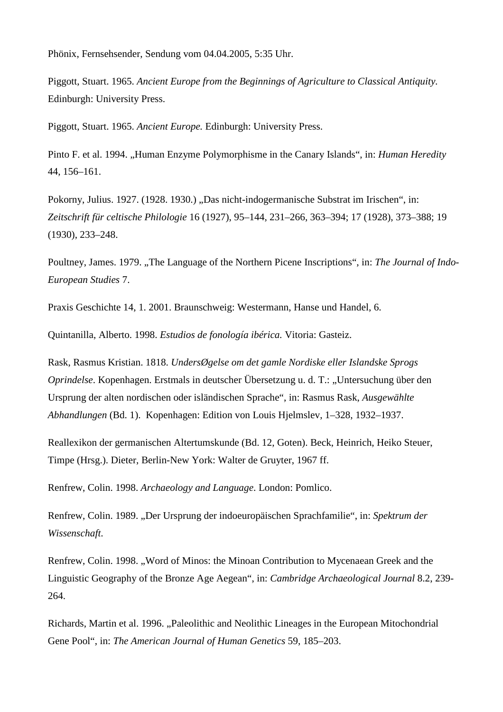Phönix, Fernsehsender, Sendung vom 04.04.2005, 5:35 Uhr.

Piggott, Stuart. 1965. *Ancient Europe from the Beginnings of Agriculture to Classical Antiquity.* Edinburgh: University Press.

Piggott, Stuart. 1965. *Ancient Europe.* Edinburgh: University Press.

Pinto F. et al. 1994. "Human Enzyme Polymorphisme in the Canary Islands", in: *Human Heredity* 44, 156–161.

Pokorny, Julius. 1927. (1928. 1930.) "Das nicht-indogermanische Substrat im Irischen", in: *Zeitschrift für celtische Philologie* 16 (1927), 95–144, 231–266, 363–394; 17 (1928), 373–388; 19 (1930), 233–248.

Poultney, James. 1979. "The Language of the Northern Picene Inscriptions", in: *The Journal of Indo-European Studies* 7.

Praxis Geschichte 14, 1. 2001. Braunschweig: Westermann, Hanse und Handel, 6.

Quintanilla, Alberto. 1998. *Estudios de fonología ibérica.* Vitoria: Gasteiz.

Rask, Rasmus Kristian. 1818. *UndersØgelse om det gamle Nordiske eller Islandske Sprogs Oprindelse*. Kopenhagen. Erstmals in deutscher Übersetzung u. d. T.: "Untersuchung über den Ursprung der alten nordischen oder isländischen Sprache", in: Rasmus Rask, *Ausgewählte Abhandlungen* (Bd. 1). Kopenhagen: Edition von Louis Hjelmslev, 1–328, 1932–1937.

Reallexikon der germanischen Altertumskunde (Bd. 12, Goten). Beck, Heinrich, Heiko Steuer, Timpe (Hrsg.). Dieter, Berlin-New York: Walter de Gruyter, 1967 ff.

Renfrew, Colin. 1998. *Archaeology and Language*. London: Pomlico.

Renfrew, Colin. 1989. "Der Ursprung der indoeuropäischen Sprachfamilie", in: *Spektrum der Wissenschaft*.

Renfrew, Colin. 1998. "Word of Minos: the Minoan Contribution to Mycenaean Greek and the Linguistic Geography of the Bronze Age Aegean", in: *Cambridge Archaeological Journal* 8.2, 239- 264.

Richards, Martin et al. 1996. "Paleolithic and Neolithic Lineages in the European Mitochondrial Gene Pool", in: *The American Journal of Human Genetics* 59, 185–203.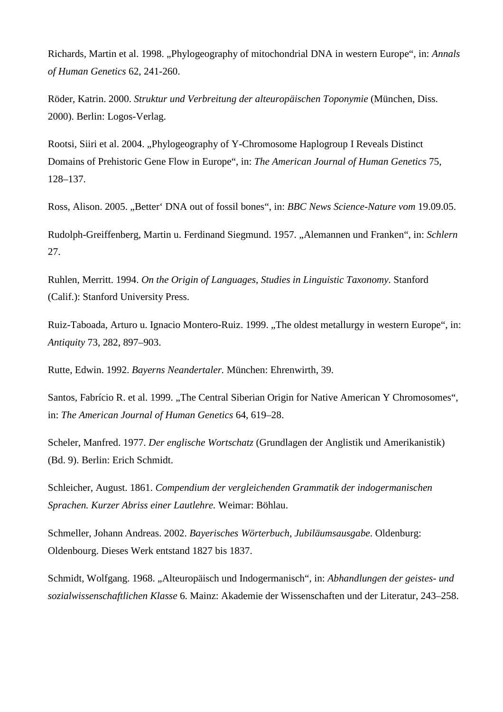Richards, Martin et al. 1998. "Phylogeography of mitochondrial DNA in western Europe", in: *Annals of Human Genetics* 62, 241-260.

Röder, Katrin. 2000. *Struktur und Verbreitung der alteuropäischen Toponymie* (München, Diss. 2000). Berlin: Logos-Verlag.

Rootsi, Siiri et al. 2004. "Phylogeography of Y-Chromosome Haplogroup I Reveals Distinct Domains of Prehistoric Gene Flow in Europe", in: *The American Journal of Human Genetics* 75, 128–137.

Ross, Alison. 2005. "Better' DNA out of fossil bones", in: *BBC News Science-Nature vom* 19.09.05.

Rudolph-Greiffenberg, Martin u. Ferdinand Siegmund. 1957. "Alemannen und Franken", in: *Schlern* 27.

Ruhlen, Merritt. 1994. *On the Origin of Languages, Studies in Linguistic Taxonomy.* Stanford (Calif.): Stanford University Press.

Ruiz-Taboada, Arturo u. Ignacio Montero-Ruiz. 1999. "The oldest metallurgy in western Europe", in: *Antiquity* 73, 282, 897–903.

Rutte, Edwin. 1992. *Bayerns Neandertaler.* München: Ehrenwirth, 39.

Santos, Fabrício R. et al. 1999. "The Central Siberian Origin for Native American Y Chromosomes", in: *The American Journal of Human Genetics* 64, 619–28.

Scheler, Manfred. 1977. *Der englische Wortschatz* (Grundlagen der Anglistik und Amerikanistik) (Bd. 9). Berlin: Erich Schmidt.

Schleicher, August. 1861. *Compendium der vergleichenden Grammatik der indogermanischen Sprachen. Kurzer Abriss einer Lautlehre.* Weimar: Böhlau.

Schmeller, Johann Andreas. 2002. *Bayerisches Wörterbuch, Jubiläumsausgabe*. Oldenburg: Oldenbourg. Dieses Werk entstand 1827 bis 1837.

Schmidt, Wolfgang. 1968. "Alteuropäisch und Indogermanisch", in: *Abhandlungen der geistes- und sozialwissenschaftlichen Klasse* 6. Mainz: Akademie der Wissenschaften und der Literatur, 243–258.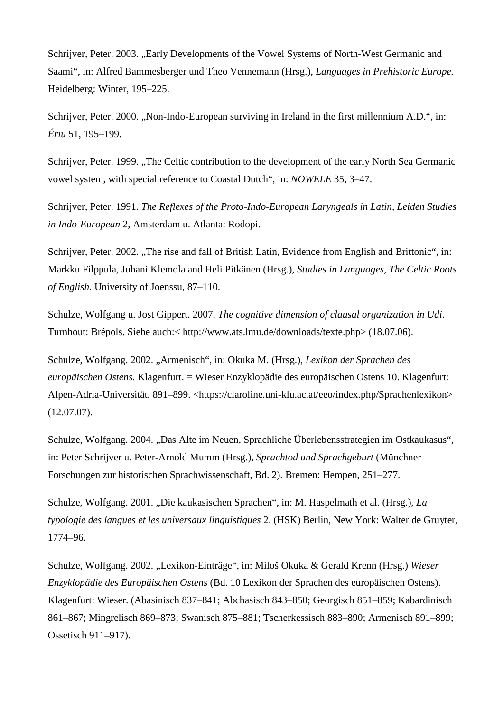Schrijver, Peter. 2003. ..Early Developments of the Vowel Systems of North-West Germanic and Saami", in: Alfred Bammesberger und Theo Vennemann (Hrsg.), *Languages in Prehistoric Europe.* Heidelberg: Winter, 195–225.

Schrijver, Peter. 2000. "Non-Indo-European surviving in Ireland in the first millennium A.D.", in: *Ériu* 51, 195–199.

Schrijver, Peter. 1999. "The Celtic contribution to the development of the early North Sea Germanic vowel system, with special reference to Coastal Dutch", in: *NOWELE* 35, 3–47.

Schrijver, Peter. 1991. *The Reflexes of the Proto-Indo-European Laryngeals in Latin, Leiden Studies in Indo-European* 2, Amsterdam u. Atlanta: Rodopi.

Schrijver, Peter. 2002. "The rise and fall of British Latin, Evidence from English and Brittonic", in: Markku Filppula, Juhani Klemola and Heli Pitkänen (Hrsg.), *Studies in Languages, The Celtic Roots of English*. University of Joenssu, 87–110.

Schulze, Wolfgang u. Jost Gippert. 2007. *The cognitive dimension of clausal organization in Udi*. Turnhout: Brépols. Siehe auch:< http://www.ats.lmu.de/downloads/texte.php> (18.07.06).

Schulze, Wolfgang. 2002. "Armenisch", in: Okuka M. (Hrsg.), *Lexikon der Sprachen des europäischen Ostens*. Klagenfurt. = Wieser Enzyklopädie des europäischen Ostens 10. Klagenfurt: Alpen-Adria-Universität, 891–899. <https://claroline.uni-klu.ac.at/eeo/index.php/Sprachenlexikon> (12.07.07).

Schulze, Wolfgang. 2004. "Das Alte im Neuen, Sprachliche Überlebensstrategien im Ostkaukasus", in: Peter Schrijver u. Peter-Arnold Mumm (Hrsg.), *Sprachtod und Sprachgeburt* (Münchner Forschungen zur historischen Sprachwissenschaft, Bd. 2). Bremen: Hempen, 251–277.

Schulze, Wolfgang. 2001. "Die kaukasischen Sprachen", in: M. Haspelmath et al. (Hrsg.), *La typologie des langues et les universaux linguistiques* 2. (HSK) Berlin, New York: Walter de Gruyter, 1774–96.

Schulze, Wolfgang. 2002. "Lexikon-Einträge", in: Miloš Okuka & Gerald Krenn (Hrsg.) *Wieser Enzyklopädie des Europäischen Ostens* (Bd. 10 Lexikon der Sprachen des europäischen Ostens). Klagenfurt: Wieser. (Abasinisch 837–841; Abchasisch 843–850; Georgisch 851–859; Kabardinisch 861–867; Mingrelisch 869–873; Swanisch 875–881; Tscherkessisch 883–890; Armenisch 891–899; Ossetisch 911–917).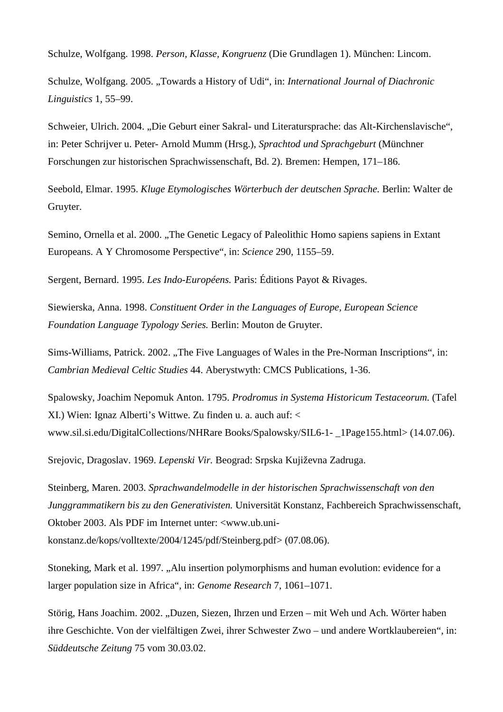Schulze, Wolfgang. 1998. *Person, Klasse, Kongruenz* (Die Grundlagen 1). München: Lincom.

Schulze, Wolfgang. 2005. "Towards a History of Udi", in: *International Journal of Diachronic Linguistics* 1, 55–99.

Schweier, Ulrich. 2004. "Die Geburt einer Sakral- und Literatursprache: das Alt-Kirchenslavische", in: Peter Schrijver u. Peter- Arnold Mumm (Hrsg.), *Sprachtod und Sprachgeburt* (Münchner Forschungen zur historischen Sprachwissenschaft, Bd. 2). Bremen: Hempen, 171–186.

Seebold, Elmar. 1995. *Kluge Etymologisches Wörterbuch der deutschen Sprache.* Berlin: Walter de Gruyter.

Semino, Ornella et al. 2000. "The Genetic Legacy of Paleolithic Homo sapiens sapiens in Extant Europeans. A Y Chromosome Perspective", in: *Science* 290, 1155–59.

Sergent, Bernard. 1995. *Les Indo-Européens.* Paris: Éditions Payot & Rivages.

Siewierska, Anna. 1998. *Constituent Order in the Languages of Europe, European Science Foundation Language Typology Series.* Berlin: Mouton de Gruyter.

Sims-Williams, Patrick. 2002. "The Five Languages of Wales in the Pre-Norman Inscriptions", in: *Cambrian Medieval Celtic Studies* 44. Aberystwyth: CMCS Publications, 1-36.

Spalowsky, Joachim Nepomuk Anton. 1795. *Prodromus in Systema Historicum Testaceorum.* (Tafel XI.) Wien: Ignaz Alberti's Wittwe. Zu finden u. a. auch auf: < www.sil.si.edu/DigitalCollections/NHRare Books/Spalowsky/SIL6-1- \_1Page155.html> (14.07.06).

Srejovic, Dragoslav. 1969. *Lepenski Vir.* Beograd: Srpska Kujiževna Zadruga.

Steinberg, Maren. 2003. *Sprachwandelmodelle in der historischen Sprachwissenschaft von den Junggrammatikern bis zu den Generativisten.* Universität Konstanz, Fachbereich Sprachwissenschaft, Oktober 2003. Als PDF im Internet unter: <www.ub.unikonstanz.de/kops/volltexte/2004/1245/pdf/Steinberg.pdf> (07.08.06).

Stoneking, Mark et al. 1997. "Alu insertion polymorphisms and human evolution: evidence for a larger population size in Africa", in: *Genome Research* 7, 1061–1071.

Störig, Hans Joachim. 2002. "Duzen, Siezen, Ihrzen und Erzen – mit Weh und Ach. Wörter haben ihre Geschichte. Von der vielfältigen Zwei, ihrer Schwester Zwo – und andere Wortklaubereien", in: *Süddeutsche Zeitung* 75 vom 30.03.02.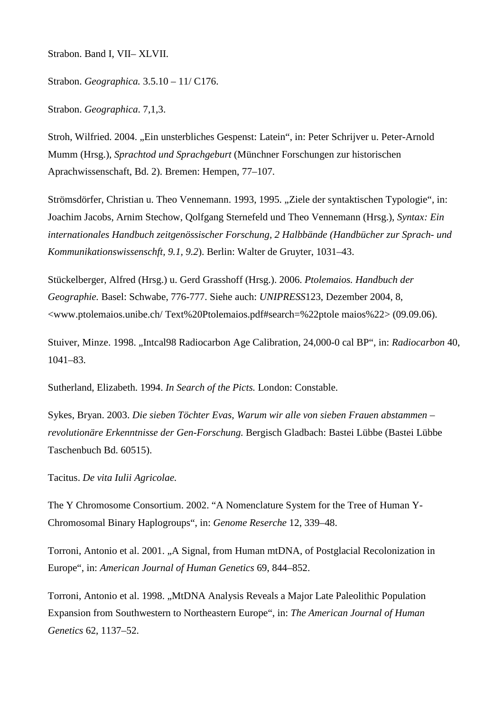Strabon. Band I, VII– XLVII.

Strabon. *Geographica.* 3.5.10 – 11/ C176.

Strabon. *Geographica*. 7,1,3.

Stroh, Wilfried. 2004. "Ein unsterbliches Gespenst: Latein", in: Peter Schrijver u. Peter-Arnold Mumm (Hrsg.), *Sprachtod und Sprachgeburt* (Münchner Forschungen zur historischen Aprachwissenschaft, Bd. 2). Bremen: Hempen, 77–107.

Strömsdörfer, Christian u. Theo Vennemann. 1993, 1995. "Ziele der syntaktischen Typologie", in: Joachim Jacobs, Arnim Stechow, Qolfgang Sternefeld und Theo Vennemann (Hrsg.), *Syntax: Ein internationales Handbuch zeitgenössischer Forschung, 2 Halbbände (Handbücher zur Sprach- und Kommunikationswissenschft, 9.1, 9.2*). Berlin: Walter de Gruyter, 1031–43.

Stückelberger, Alfred (Hrsg.) u. Gerd Grasshoff (Hrsg.). 2006. *Ptolemaios. Handbuch der Geographie.* Basel: Schwabe, 776-777. Siehe auch: *UNIPRESS*123, Dezember 2004, 8, <www.ptolemaios.unibe.ch/ Text%20Ptolemaios.pdf#search=%22ptole maios%22> (09.09.06).

Stuiver, Minze. 1998. "Intcal98 Radiocarbon Age Calibration, 24,000-0 cal BP", in: *Radiocarbon* 40, 1041–83.

Sutherland, Elizabeth. 1994. *In Search of the Picts.* London: Constable.

Sykes, Bryan. 2003. *Die sieben Töchter Evas, Warum wir alle von sieben Frauen abstammen – revolutionäre Erkenntnisse der Gen-Forschung.* Bergisch Gladbach: Bastei Lübbe (Bastei Lübbe Taschenbuch Bd. 60515).

Tacitus. *De vita Iulii Agricolae.*

The Y Chromosome Consortium. 2002. "A Nomenclature System for the Tree of Human Y-Chromosomal Binary Haplogroups", in: *Genome Reserche* 12, 339–48.

Torroni, Antonio et al. 2001. "A Signal, from Human mtDNA, of Postglacial Recolonization in Europe", in: *American Journal of Human Genetics* 69, 844–852.

Torroni, Antonio et al. 1998. "MtDNA Analysis Reveals a Major Late Paleolithic Population Expansion from Southwestern to Northeastern Europe", in: *The American Journal of Human Genetics* 62, 1137–52.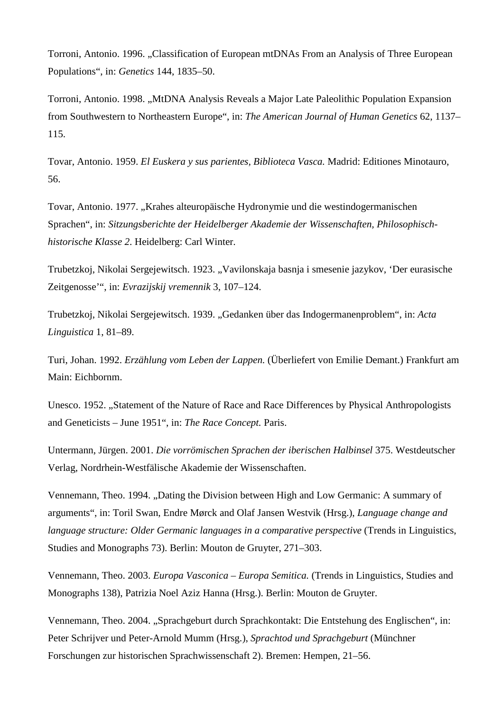Torroni, Antonio. 1996. "Classification of European mtDNAs From an Analysis of Three European Populations", in: *Genetics* 144, 1835–50.

Torroni, Antonio. 1998. "MtDNA Analysis Reveals a Major Late Paleolithic Population Expansion from Southwestern to Northeastern Europe", in: *The American Journal of Human Genetics* 62, 1137– 115.

Tovar, Antonio. 1959. *El Euskera y sus parientes, Biblioteca Vasca.* Madrid: Editiones Minotauro, 56.

Tovar, Antonio. 1977. "Krahes alteuropäische Hydronymie und die westindogermanischen Sprachen", in: *Sitzungsberichte der Heidelberger Akademie der Wissenschaften, Philosophischhistorische Klasse 2*. Heidelberg: Carl Winter.

Trubetzkoj, Nikolai Sergejewitsch. 1923. "Vavilonskaja basnja i smesenie jazykov, 'Der eurasische Zeitgenosse'", in: *Evrazijskij vremennik* 3, 107–124.

Trubetzkoj, Nikolai Sergejewitsch. 1939. "Gedanken über das Indogermanenproblem", in: *Acta Linguistica* 1, 81–89.

Turi, Johan. 1992. *Erzählung vom Leben der Lappen.* (Überliefert von Emilie Demant.) Frankfurt am Main: Eichbornm.

Unesco. 1952. "Statement of the Nature of Race and Race Differences by Physical Anthropologists and Geneticists – June 1951", in: *The Race Concept.* Paris.

Untermann, Jürgen. 2001. *Die vorrömischen Sprachen der iberischen Halbinsel* 375. Westdeutscher Verlag, Nordrhein-Westfälische Akademie der Wissenschaften.

Vennemann, Theo. 1994. "Dating the Division between High and Low Germanic: A summary of arguments", in: Toril Swan, Endre Mørck and Olaf Jansen Westvik (Hrsg.), *Language change and language structure: Older Germanic languages in a comparative perspective* (Trends in Linguistics, Studies and Monographs 73). Berlin: Mouton de Gruyter, 271–303.

Vennemann, Theo. 2003. *Europa Vasconica – Europa Semitica.* (Trends in Linguistics, Studies and Monographs 138), Patrizia Noel Aziz Hanna (Hrsg.). Berlin: Mouton de Gruyter.

Vennemann, Theo. 2004. "Sprachgeburt durch Sprachkontakt: Die Entstehung des Englischen", in: Peter Schrijver und Peter-Arnold Mumm (Hrsg.), *Sprachtod und Sprachgeburt* (Münchner Forschungen zur historischen Sprachwissenschaft 2). Bremen: Hempen, 21–56.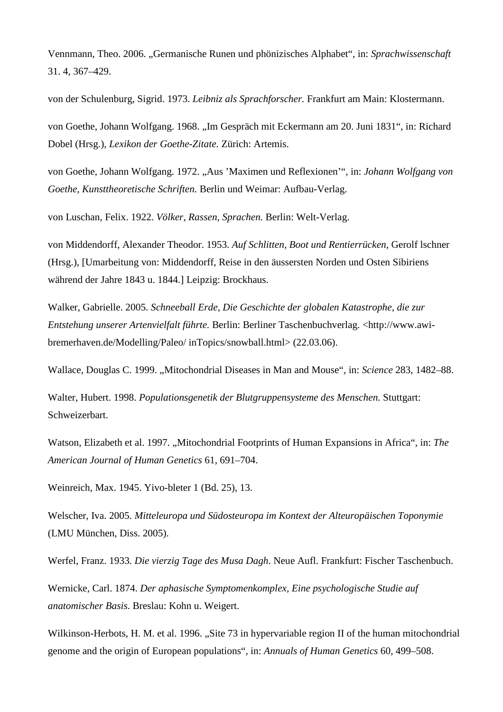Vennmann, Theo. 2006. "Germanische Runen und phönizisches Alphabet", in: *Sprachwissenschaft* 31. 4, 367–429.

von der Schulenburg, Sigrid. 1973. *Leibniz als Sprachforscher.* Frankfurt am Main: Klostermann.

von Goethe, Johann Wolfgang. 1968. "Im Gespräch mit Eckermann am 20. Juni 1831", in: Richard Dobel (Hrsg.), *Lexikon der Goethe-Zitate.* Zürich: Artemis.

von Goethe, Johann Wolfgang. 1972. "Aus 'Maximen und Reflexionen'", in: *Johann Wolfgang von Goethe, Kunsttheoretische Schriften.* Berlin und Weimar: Aufbau-Verlag.

von Luschan, Felix. 1922. *Völker, Rassen, Sprachen.* Berlin: Welt-Verlag.

von Middendorff, Alexander Theodor. 1953. *Auf Schlitten, Boot und Rentierrücken,* Gerolf lschner (Hrsg.), [Umarbeitung von: Middendorff, Reise in den äussersten Norden und Osten Sibiriens während der Jahre 1843 u. 1844.] Leipzig: Brockhaus.

Walker, Gabrielle. 2005. *Schneeball Erde, Die Geschichte der globalen Katastrophe, die zur Entstehung unserer Artenvielfalt führte.* Berlin: Berliner Taschenbuchverlag. <http://www.awibremerhaven.de/Modelling/Paleo/ inTopics/snowball.html> (22.03.06).

Wallace, Douglas C. 1999. "Mitochondrial Diseases in Man and Mouse", in: *Science* 283, 1482–88.

Walter, Hubert. 1998. *Populationsgenetik der Blutgruppensysteme des Menschen.* Stuttgart: Schweizerbart.

Watson, Elizabeth et al. 1997. "Mitochondrial Footprints of Human Expansions in Africa", in: *The American Journal of Human Genetics* 61, 691–704.

Weinreich, Max. 1945. Yivo-bleter 1 (Bd. 25), 13.

Welscher, Iva. 2005. *Mitteleuropa und Südosteuropa im Kontext der Alteuropäischen Toponymie* (LMU München, Diss. 2005).

Werfel, Franz. 1933. *Die vierzig Tage des Musa Dagh*. Neue Aufl. Frankfurt: Fischer Taschenbuch.

Wernicke, Carl. 1874. *Der aphasische Symptomenkomplex, Eine psychologische Studie auf anatomischer Basis*. Breslau: Kohn u. Weigert.

Wilkinson-Herbots, H. M. et al. 1996. "Site 73 in hypervariable region II of the human mitochondrial genome and the origin of European populations", in: *Annuals of Human Genetics* 60, 499–508.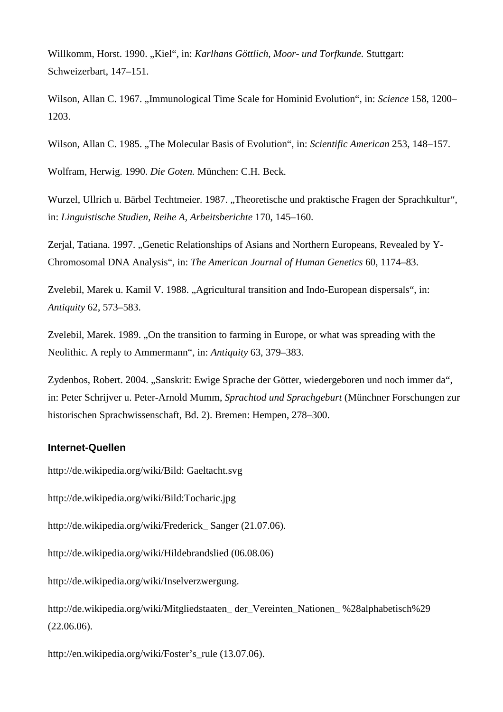Willkomm, Horst. 1990. "Kiel", in: *Karlhans Göttlich, Moor- und Torfkunde.* Stuttgart: Schweizerbart, 147–151.

Wilson, Allan C. 1967. ..Immunological Time Scale for Hominid Evolution", in: *Science* 158, 1200– 1203.

Wilson, Allan C. 1985. "The Molecular Basis of Evolution", in: Scientific American 253, 148–157.

Wolfram, Herwig. 1990. *Die Goten.* München: C.H. Beck.

Wurzel, Ullrich u. Bärbel Techtmeier. 1987. "Theoretische und praktische Fragen der Sprachkultur", in: *Linguistische Studien, Reihe A, Arbeitsberichte* 170, 145–160.

Zerjal, Tatiana. 1997. "Genetic Relationships of Asians and Northern Europeans, Revealed by Y-Chromosomal DNA Analysis", in: *The American Journal of Human Genetics* 60, 1174–83.

Zvelebil, Marek u. Kamil V. 1988. "Agricultural transition and Indo-European dispersals", in: *Antiquity* 62, 573–583.

Zvelebil, Marek. 1989. "On the transition to farming in Europe, or what was spreading with the Neolithic. A reply to Ammermann", in: *Antiquity* 63, 379–383.

Zydenbos, Robert. 2004. "Sanskrit: Ewige Sprache der Götter, wiedergeboren und noch immer da", in: Peter Schrijver u. Peter-Arnold Mumm, *Sprachtod und Sprachgeburt* (Münchner Forschungen zur historischen Sprachwissenschaft, Bd. 2). Bremen: Hempen, 278–300.

## **Internet-Quellen**

http://de.wikipedia.org/wiki/Bild: Gaeltacht.svg

http://de.wikipedia.org/wiki/Bild:Tocharic.jpg

http://de.wikipedia.org/wiki/Frederick\_ Sanger (21.07.06).

http://de.wikipedia.org/wiki/Hildebrandslied (06.08.06)

http://de.wikipedia.org/wiki/Inselverzwergung.

http://de.wikipedia.org/wiki/Mitgliedstaaten\_ der\_Vereinten\_Nationen\_ %28alphabetisch%29 (22.06.06).

http://en.wikipedia.org/wiki/Foster's\_rule (13.07.06).